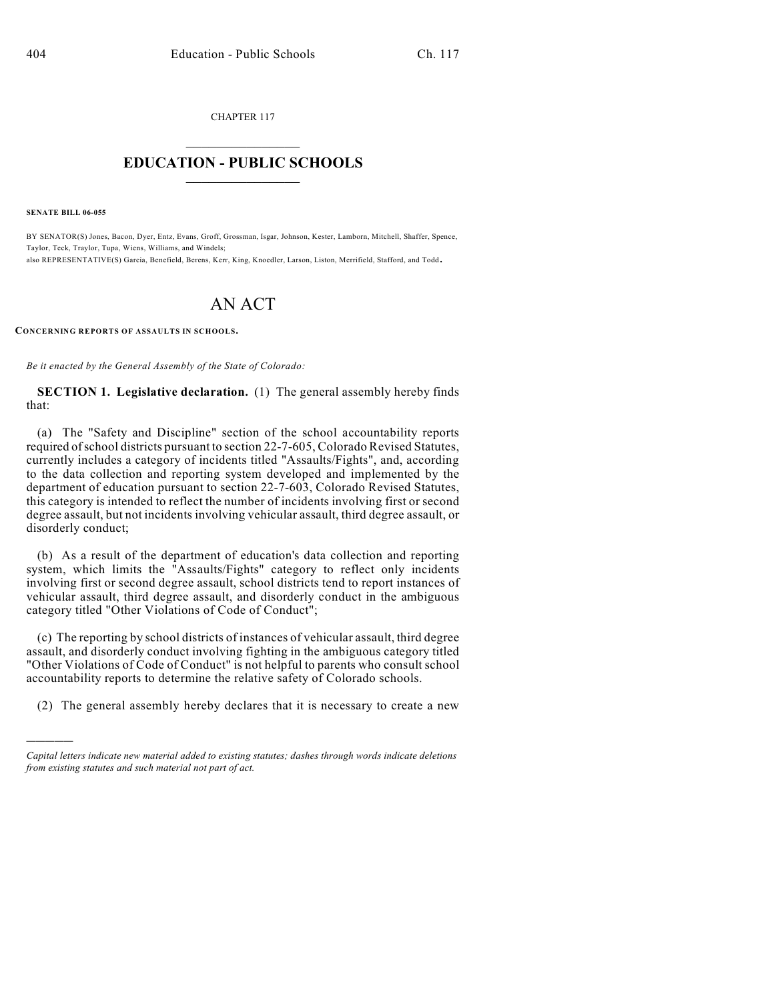CHAPTER 117  $\overline{\phantom{a}}$  . The set of the set of the set of the set of the set of the set of the set of the set of the set of the set of the set of the set of the set of the set of the set of the set of the set of the set of the set o

## **EDUCATION - PUBLIC SCHOOLS**  $\_$   $\_$   $\_$   $\_$   $\_$   $\_$   $\_$   $\_$   $\_$

**SENATE BILL 06-055**

)))))

BY SENATOR(S) Jones, Bacon, Dyer, Entz, Evans, Groff, Grossman, Isgar, Johnson, Kester, Lamborn, Mitchell, Shaffer, Spence, Taylor, Teck, Traylor, Tupa, Wiens, Williams, and Windels; also REPRESENTATIVE(S) Garcia, Benefield, Berens, Kerr, King, Knoedler, Larson, Liston, Merrifield, Stafford, and Todd.

## AN ACT

**CONCERNING REPORTS OF ASSAULTS IN SCHOOLS.**

*Be it enacted by the General Assembly of the State of Colorado:*

**SECTION 1. Legislative declaration.** (1) The general assembly hereby finds that:

(a) The "Safety and Discipline" section of the school accountability reports required of school districts pursuant to section 22-7-605, Colorado Revised Statutes, currently includes a category of incidents titled "Assaults/Fights", and, according to the data collection and reporting system developed and implemented by the department of education pursuant to section 22-7-603, Colorado Revised Statutes, this category is intended to reflect the number of incidents involving first or second degree assault, but not incidents involving vehicular assault, third degree assault, or disorderly conduct;

(b) As a result of the department of education's data collection and reporting system, which limits the "Assaults/Fights" category to reflect only incidents involving first or second degree assault, school districts tend to report instances of vehicular assault, third degree assault, and disorderly conduct in the ambiguous category titled "Other Violations of Code of Conduct";

(c) The reporting by school districts of instances of vehicular assault, third degree assault, and disorderly conduct involving fighting in the ambiguous category titled "Other Violations of Code of Conduct" is not helpful to parents who consult school accountability reports to determine the relative safety of Colorado schools.

(2) The general assembly hereby declares that it is necessary to create a new

*Capital letters indicate new material added to existing statutes; dashes through words indicate deletions from existing statutes and such material not part of act.*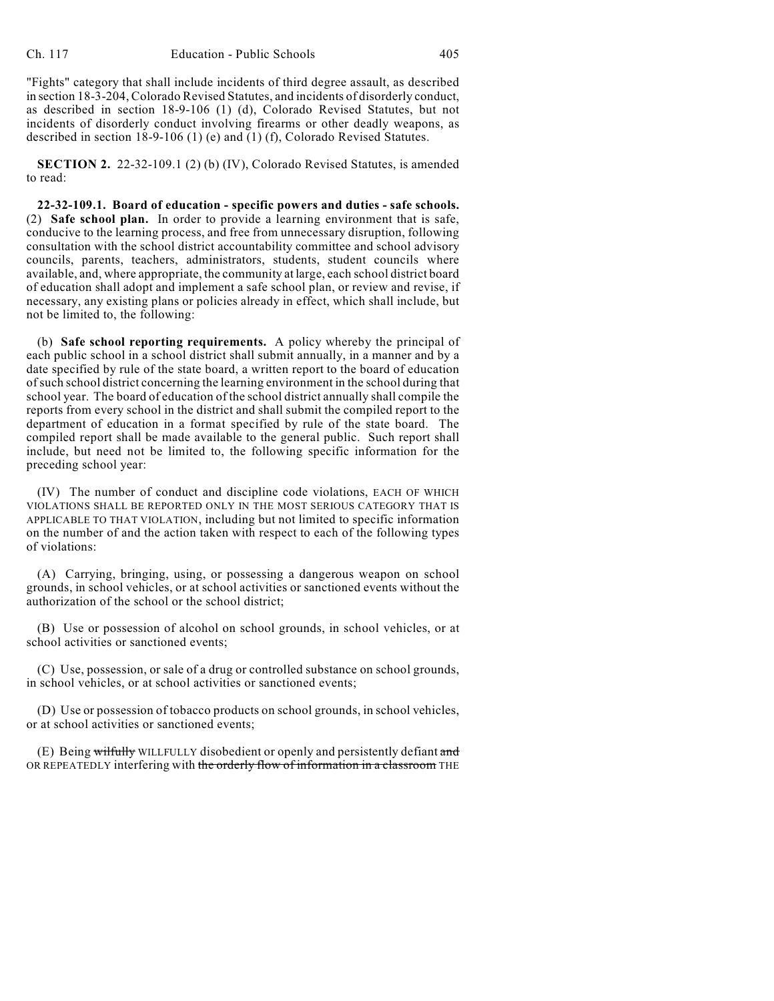"Fights" category that shall include incidents of third degree assault, as described in section 18-3-204, Colorado Revised Statutes, and incidents of disorderly conduct, as described in section 18-9-106 (1) (d), Colorado Revised Statutes, but not incidents of disorderly conduct involving firearms or other deadly weapons, as described in section 18-9-106 (1) (e) and (1) (f), Colorado Revised Statutes.

**SECTION 2.** 22-32-109.1 (2) (b) (IV), Colorado Revised Statutes, is amended to read:

**22-32-109.1. Board of education - specific powers and duties - safe schools.** (2) **Safe school plan.** In order to provide a learning environment that is safe, conducive to the learning process, and free from unnecessary disruption, following consultation with the school district accountability committee and school advisory councils, parents, teachers, administrators, students, student councils where available, and, where appropriate, the community at large, each school district board of education shall adopt and implement a safe school plan, or review and revise, if necessary, any existing plans or policies already in effect, which shall include, but not be limited to, the following:

(b) **Safe school reporting requirements.** A policy whereby the principal of each public school in a school district shall submit annually, in a manner and by a date specified by rule of the state board, a written report to the board of education of such school district concerning the learning environment in the school during that school year. The board of education of the school district annually shall compile the reports from every school in the district and shall submit the compiled report to the department of education in a format specified by rule of the state board. The compiled report shall be made available to the general public. Such report shall include, but need not be limited to, the following specific information for the preceding school year:

(IV) The number of conduct and discipline code violations, EACH OF WHICH VIOLATIONS SHALL BE REPORTED ONLY IN THE MOST SERIOUS CATEGORY THAT IS APPLICABLE TO THAT VIOLATION, including but not limited to specific information on the number of and the action taken with respect to each of the following types of violations:

(A) Carrying, bringing, using, or possessing a dangerous weapon on school grounds, in school vehicles, or at school activities or sanctioned events without the authorization of the school or the school district;

(B) Use or possession of alcohol on school grounds, in school vehicles, or at school activities or sanctioned events;

(C) Use, possession, or sale of a drug or controlled substance on school grounds, in school vehicles, or at school activities or sanctioned events;

(D) Use or possession of tobacco products on school grounds, in school vehicles, or at school activities or sanctioned events;

(E) Being wilfully WILLFULLY disobedient or openly and persistently defiant and OR REPEATEDLY interfering with the orderly flow of information in a classroom THE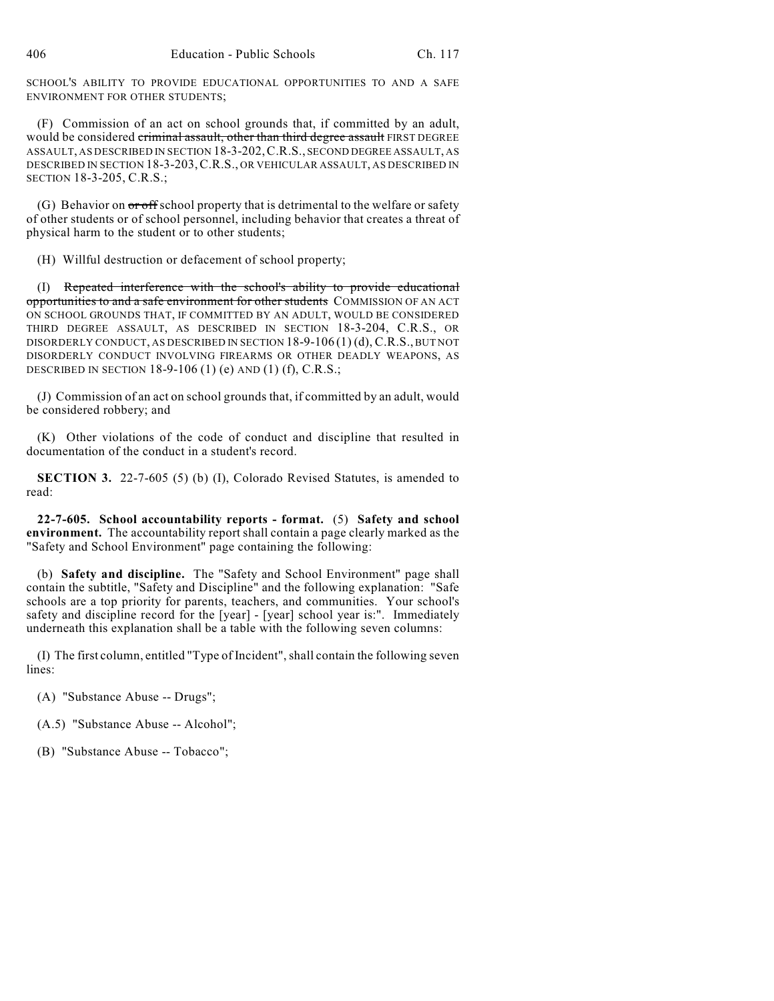SCHOOL'S ABILITY TO PROVIDE EDUCATIONAL OPPORTUNITIES TO AND A SAFE ENVIRONMENT FOR OTHER STUDENTS;

(F) Commission of an act on school grounds that, if committed by an adult, would be considered criminal assault, other than third degree assault FIRST DEGREE ASSAULT, AS DESCRIBED IN SECTION 18-3-202,C.R.S., SECOND DEGREE ASSAULT, AS DESCRIBED IN SECTION 18-3-203,C.R.S., OR VEHICULAR ASSAULT, AS DESCRIBED IN SECTION 18-3-205, C.R.S.;

(G) Behavior on or off school property that is detrimental to the welfare or safety of other students or of school personnel, including behavior that creates a threat of physical harm to the student or to other students;

(H) Willful destruction or defacement of school property;

(I) Repeated interference with the school's ability to provide educational opportunities to and a safe environment for other students COMMISSION OF AN ACT ON SCHOOL GROUNDS THAT, IF COMMITTED BY AN ADULT, WOULD BE CONSIDERED THIRD DEGREE ASSAULT, AS DESCRIBED IN SECTION 18-3-204, C.R.S., OR DISORDERLY CONDUCT, AS DESCRIBED IN SECTION 18-9-106 (1) (d), C.R.S., BUT NOT DISORDERLY CONDUCT INVOLVING FIREARMS OR OTHER DEADLY WEAPONS, AS DESCRIBED IN SECTION 18-9-106 (1) (e) AND (1) (f), C.R.S.;

(J) Commission of an act on school grounds that, if committed by an adult, would be considered robbery; and

(K) Other violations of the code of conduct and discipline that resulted in documentation of the conduct in a student's record.

**SECTION 3.** 22-7-605 (5) (b) (I), Colorado Revised Statutes, is amended to read:

**22-7-605. School accountability reports - format.** (5) **Safety and school environment.** The accountability report shall contain a page clearly marked as the "Safety and School Environment" page containing the following:

(b) **Safety and discipline.** The "Safety and School Environment" page shall contain the subtitle, "Safety and Discipline" and the following explanation: "Safe schools are a top priority for parents, teachers, and communities. Your school's safety and discipline record for the [year] - [year] school year is:". Immediately underneath this explanation shall be a table with the following seven columns:

(I) The first column, entitled "Type of Incident", shall contain the following seven lines:

- (A) "Substance Abuse -- Drugs";
- (A.5) "Substance Abuse -- Alcohol";
- (B) "Substance Abuse -- Tobacco";